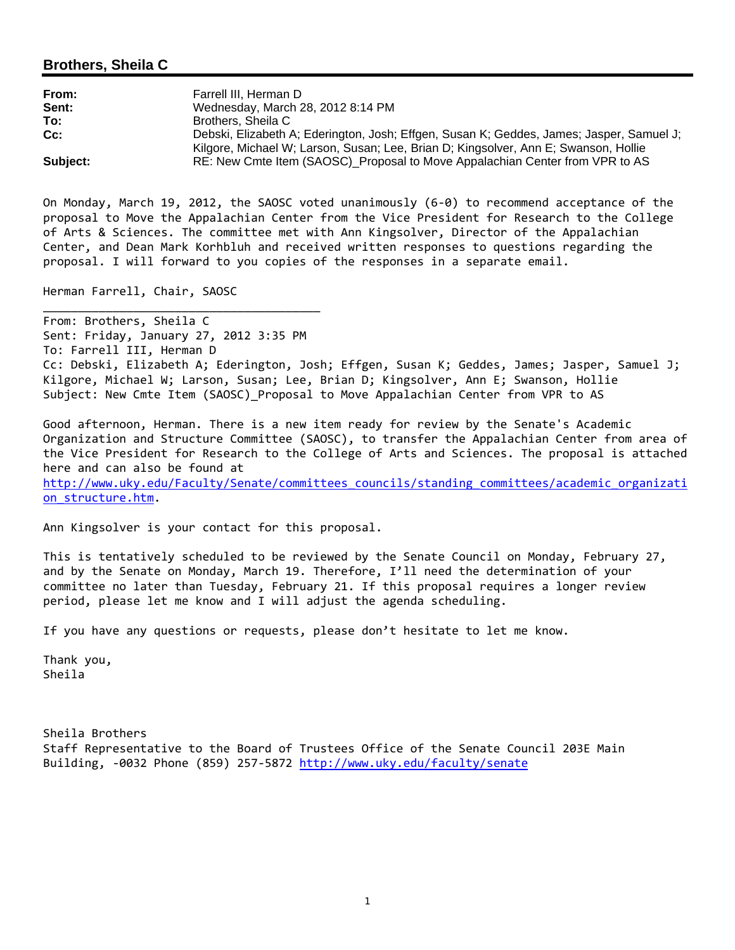### **Brothers, Sheila C**

| From:    | Farrell III. Herman D                                                                    |
|----------|------------------------------------------------------------------------------------------|
| Sent:    | Wednesday, March 28, 2012 8:14 PM                                                        |
| To:      | Brothers, Sheila C                                                                       |
| $Cc$ :   | Debski, Elizabeth A; Ederington, Josh; Effgen, Susan K; Geddes, James; Jasper, Samuel J; |
|          | Kilgore, Michael W; Larson, Susan; Lee, Brian D; Kingsolver, Ann E; Swanson, Hollie      |
| Subject: | RE: New Cmte Item (SAOSC) Proposal to Move Appalachian Center from VPR to AS             |

On Monday, March 19, 2012, the SAOSC voted unanimously (6‐0) to recommend acceptance of the proposal to Move the Appalachian Center from the Vice President for Research to the College of Arts & Sciences. The committee met with Ann Kingsolver, Director of the Appalachian Center, and Dean Mark Korhbluh and received written responses to questions regarding the proposal. I will forward to you copies of the responses in a separate email.

Herman Farrell, Chair, SAOSC

\_\_\_\_\_\_\_\_\_\_\_\_\_\_\_\_\_\_\_\_\_\_\_\_\_\_\_\_\_\_\_\_\_\_\_\_\_\_\_\_

From: Brothers, Sheila C Sent: Friday, January 27, 2012 3:35 PM To: Farrell III, Herman D Cc: Debski, Elizabeth A; Ederington, Josh; Effgen, Susan K; Geddes, James; Jasper, Samuel J; Kilgore, Michael W; Larson, Susan; Lee, Brian D; Kingsolver, Ann E; Swanson, Hollie Subject: New Cmte Item (SAOSC)\_Proposal to Move Appalachian Center from VPR to AS

Good afternoon, Herman. There is a new item ready for review by the Senate's Academic Organization and Structure Committee (SAOSC), to transfer the Appalachian Center from area of the Vice President for Research to the College of Arts and Sciences. The proposal is attached here and can also be found at http://www.uky.edu/Faculty/Senate/committees\_councils/standing\_committees/academic\_organizati on\_structure.htm.

Ann Kingsolver is your contact for this proposal.

This is tentatively scheduled to be reviewed by the Senate Council on Monday, February 27, and by the Senate on Monday, March 19. Therefore, I'll need the determination of your committee no later than Tuesday, February 21. If this proposal requires a longer review period, please let me know and I will adjust the agenda scheduling.

If you have any questions or requests, please don't hesitate to let me know.

Thank you, Sheila

Sheila Brothers Staff Representative to the Board of Trustees Office of the Senate Council 203E Main Building, ‐0032 Phone (859) 257‐5872 http://www.uky.edu/faculty/senate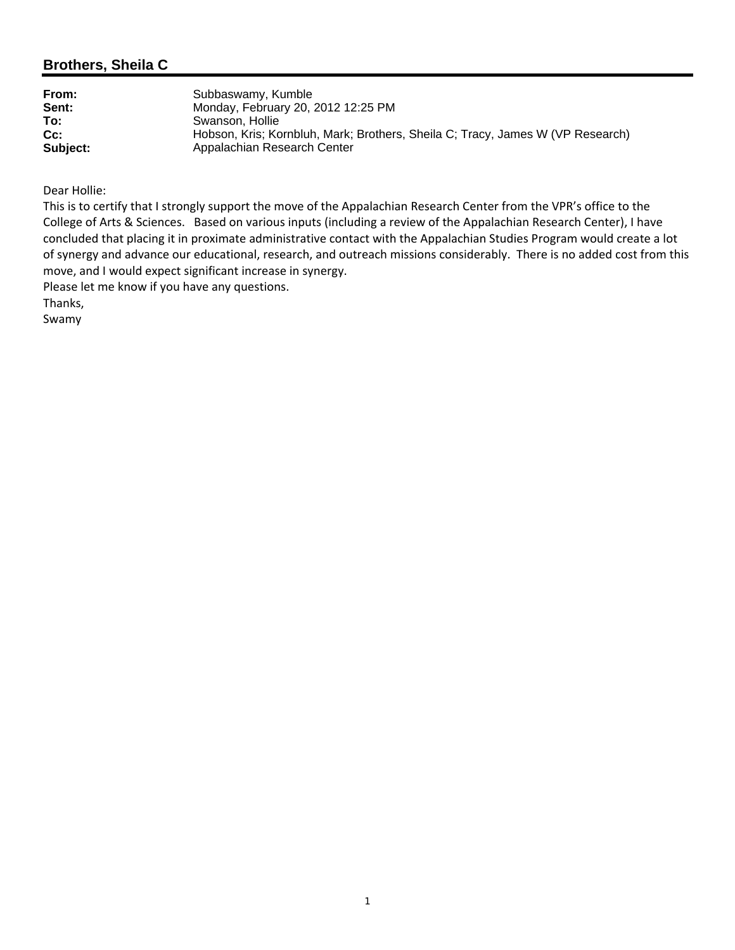### **Brothers, Sheila C**

Dear Hollie:

This is to certify that I strongly support the move of the Appalachian Research Center from the VPR's office to the College of Arts & Sciences. Based on various inputs (including a review of the Appalachian Research Center), I have concluded that placing it in proximate administrative contact with the Appalachian Studies Program would create a lot of synergy and advance our educational, research, and outreach missions considerably. There is no added cost from this move, and I would expect significant increase in synergy.

Please let me know if you have any questions.

Thanks,

Swamy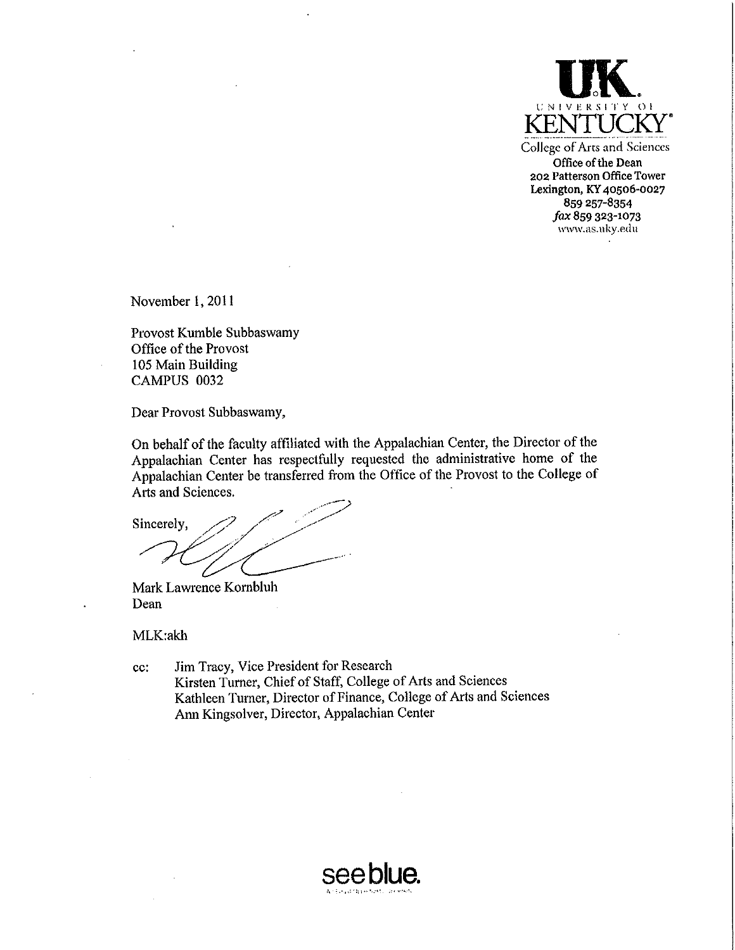

College of Arts and Sciences Office of the Dean 202 Patterson Office Tower Lexington, KY 40506-0027 859 257-8354 fax 859 323-1073 www.as.uky.edu

November 1, 2011

Provost Kumble Subbaswamy Office of the Provost 105 Main Building CAMPUS 0032

Dear Provost Subbaswamy,

On behalf of the faculty affiliated with the Appalachian Center, the Director of the Appalachian Center has respectfully requested the administrative home of the Appalachian Center be transferred from the Office of the Provost to the College of Arts and Sciences.

Sincerely,

Mark Lawrence Kornbluh Dean

MLK:akh

cc: Jim Tracy, Vice President for Research Kirsten Turner, Chief of Staff, College of Arts and Sciences Kathleen Turner, Director of Finance, College of Arts and Sciences Ann Kingsolver, Director, Appalachian Center

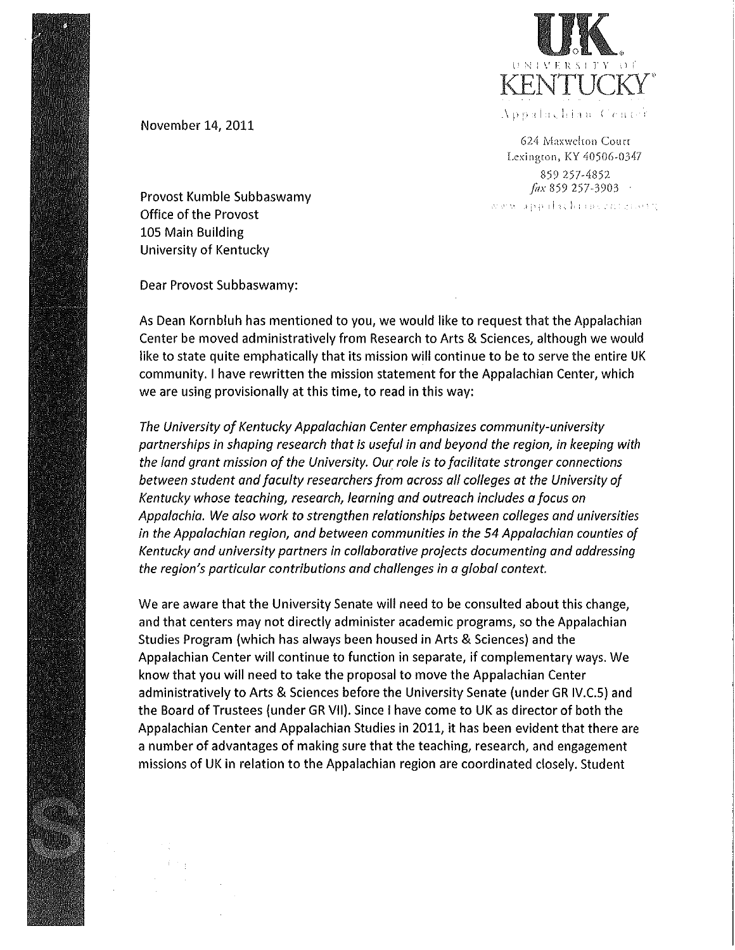

624 Maxwelton Court Lexington, KY 40506-0347 859 257-4852  $\int$  dx 859 257-3903  $\cdot$ www.appalachiance.cnter.com

November 14, 2011

Provost Kumble Subbaswamy Office of the Provost 105 Main Building University of Kentucky

Dear Provost Subbaswamy:

As Dean Kornbluh has mentioned to you, we would like to request that the Appalachian Center be moved administratively from Research to Arts & Sciences, although we would like to state quite emphatically that its mission will continue to be to serve the entire UK community. I have rewritten the mission statement for the Appalachian Center, which we are using provisionally at this time, to read in this way:

The University of Kentucky Appalachian Center emphasizes community-university partnerships in shaping research that is useful in and beyond the region, in keeping with the land grant mission of the University. Our role is to facilitate stronger connections between student and faculty researchers from across all colleges at the University of Kentucky whose teaching, research, learning and outreach includes a focus on Appalachia. We also work to strengthen relationships between colleges and universities in the Appalachian region, and between communities in the 54 Appalachian counties of Kentucky and university partners in collaborative projects documenting and addressing the region's particular contributions and challenges in a global context.

We are aware that the University Senate will need to be consulted about this change, and that centers may not directly administer academic programs, so the Appalachian Studies Program (which has always been housed in Arts & Sciences) and the Appalachian Center will continue to function in separate, if complementary ways. We know that you will need to take the proposal to move the Appalachian Center administratively to Arts & Sciences before the University Senate (under GR IV.C.5) and the Board of Trustees (under GR VII). Since I have come to UK as director of both the Appalachian Center and Appalachian Studies in 2011, it has been evident that there are a number of advantages of making sure that the teaching, research, and engagement missions of UK in relation to the Appalachian region are coordinated closely. Student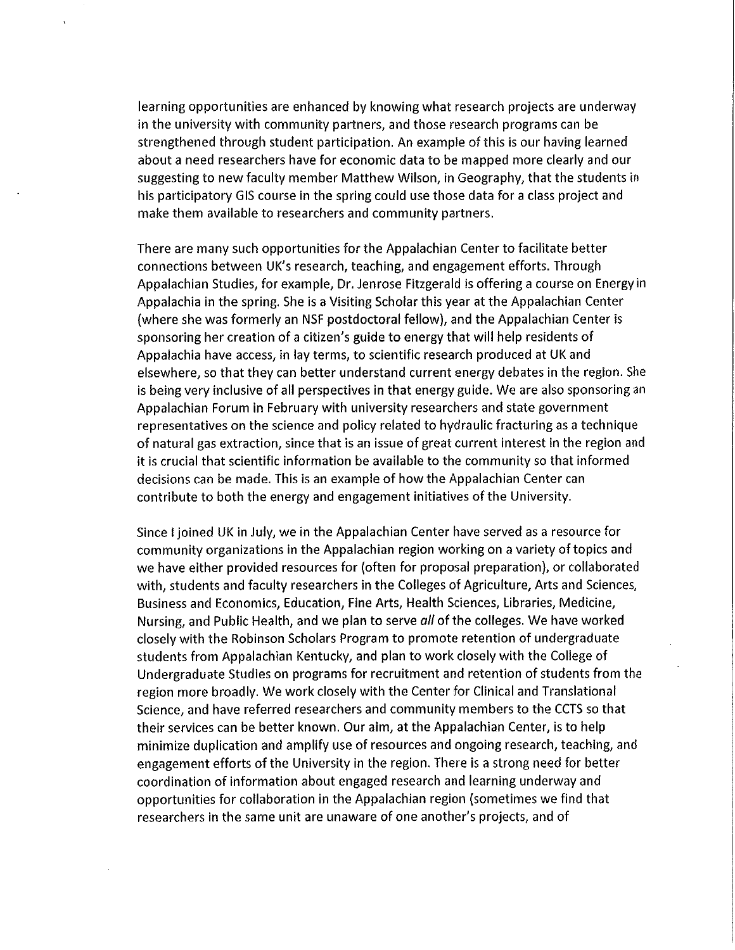learning opportunities are enhanced by knowing what research projects are underway in the university with community partners, and those research programs can be strengthened through student participation. An example of this is our having learned about a need researchers have for economic data to be mapped more clearly and our suggesting to new faculty member Matthew Wilson, in Geography, that the students in his participatory GIS course in the spring could use those data for a class project and make them available to researchers and community partners.

There are many such opportunities for the Appalachian Center to facilitate better connections between UK's research, teaching, and engagement efforts. Through Appalachian Studies, for example, Dr. Jenrose Fitzgerald is offering a course on Energy in Appalachia in the spring. She is a Visiting Scholar this year at the Appalachian Center (where she was formerly an NSF postdoctoral fellow), and the Appalachian Center is sponsoring her creation of a citizen's guide to energy that will help residents of Appalachia have access, in lay terms, to scientific research produced at UK and elsewhere, so that they can better understand current energy debates in the region. She is being very inclusive of all perspectives in that energy guide. We are also sponsoring an Appalachian Forum in February with university researchers and state government representatives on the science and policy related to hydraulic fracturing as a technique of natural gas extraction, since that is an issue of great current interest in the region and it is crucial that scientific information be available to the community so that informed decisions can be made. This is an example of how the Appalachian Center can contribute to both the energy and engagement initiatives of the University.

Since I joined UK in July, we in the Appalachian Center have served as a resource for community organizations in the Appalachian region working on a variety of topics and we have either provided resources for (often for proposal preparation), or collaborated with, students and faculty researchers in the Colleges of Agriculture, Arts and Sciences, Business and Economics, Education, Fine Arts, Health Sciences, Libraries, Medicine, Nursing, and Public Health, and we plan to serve all of the colleges. We have worked closely with the Robinson Scholars Program to promote retention of undergraduate students from Appalachian Kentucky, and plan to work closely with the College of Undergraduate Studies on programs for recruitment and retention of students from the region more broadly. We work closely with the Center for Clinical and Translational Science, and have referred researchers and community members to the CCTS so that their services can be better known. Our aim, at the Appalachian Center, is to help minimize duplication and amplify use of resources and ongoing research, teaching, and engagement efforts of the University in the region. There is a strong need for better coordination of information about engaged research and learning underway and opportunities for collaboration in the Appalachian region (sometimes we find that researchers in the same unit are unaware of one another's projects, and of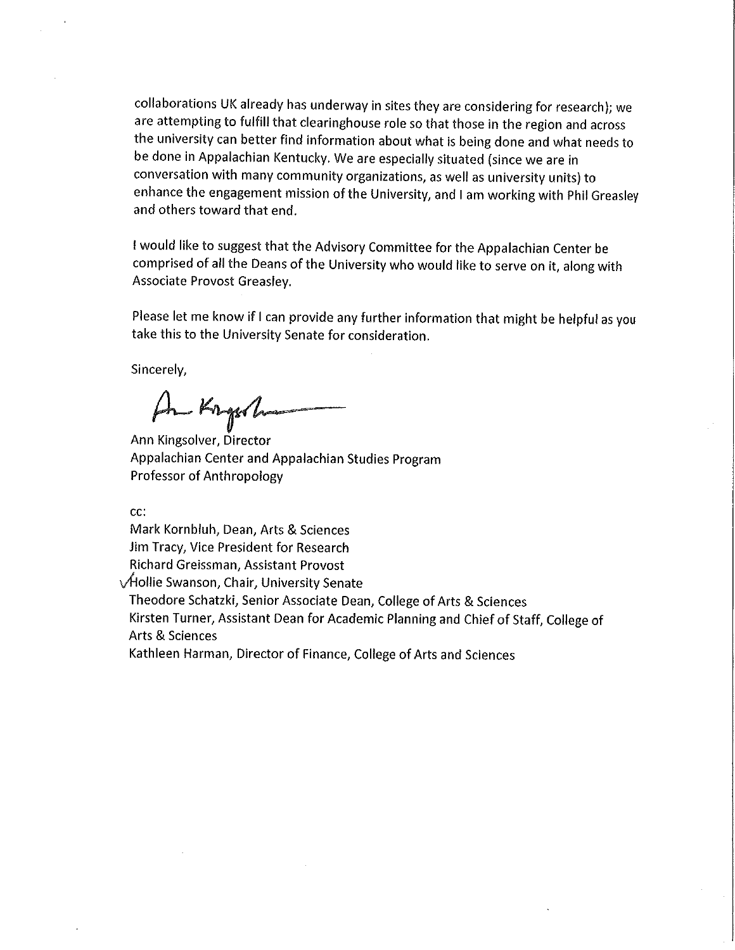collaborations UK already has underway in sites they are considering for research); we are attempting to fulfill that clearinghouse role so that those in the region and across the university can better find information about what is being done and what needs to be done in Appalachian Kentucky. We are especially situated (since we are in conversation with many community organizations, as well as university units) to enhance the engagement mission of the University, and I am working with Phil Greasley and others toward that end.

I would like to suggest that the Advisory Committee for the Appalachian Center be comprised of all the Deans of the University who would like to serve on it, along with Associate Provost Greasley.

Please let me know if I can provide any further information that might be helpful as you take this to the University Senate for consideration.

Sincerely,

An Krysh

Ann Kingsolver, Director Appalachian Center and Appalachian Studies Program Professor of Anthropology

cc:

Mark Kornbluh, Dean, Arts & Sciences Jim Tracy, Vice President for Research Richard Greissman, Assistant Provost √Hollie Swanson, Chair, University Senate

Theodore Schatzki, Senior Associate Dean, College of Arts & Sciences Kirsten Turner, Assistant Dean for Academic Planning and Chief of Staff, College of Arts & Sciences

Kathleen Harman, Director of Finance, College of Arts and Sciences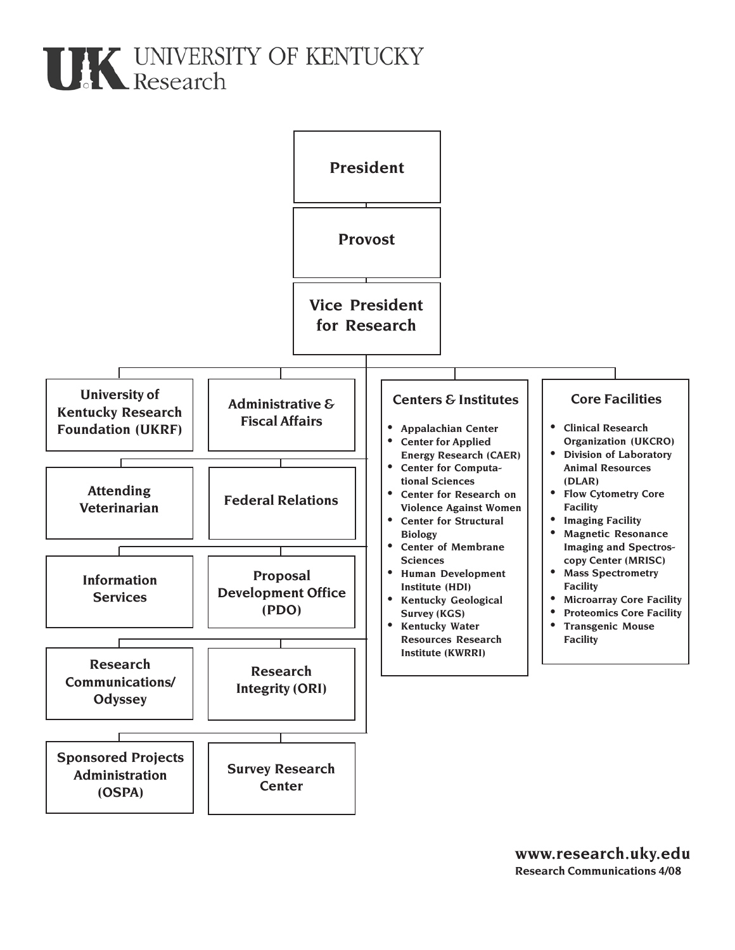# **THE UNIVERSITY OF KENTUCKY**<br>Research

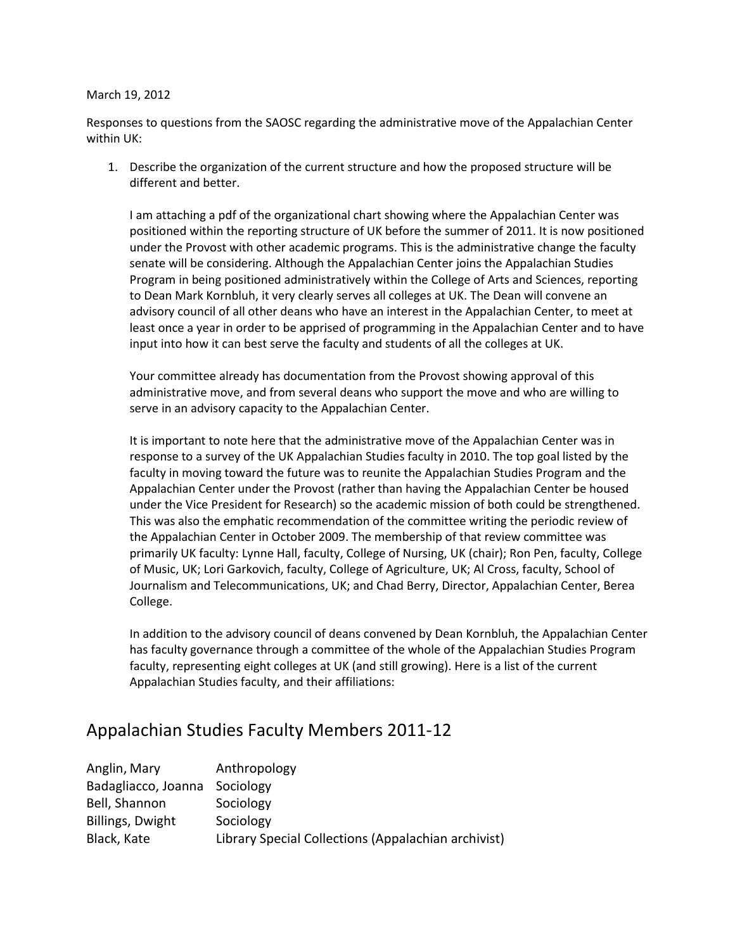#### March 19, 2012

Responses to questions from the SAOSC regarding the administrative move of the Appalachian Center within UK:

1. Describe the organization of the current structure and how the proposed structure will be different and better.

I am attaching a pdf of the organizational chart showing where the Appalachian Center was positioned within the reporting structure of UK before the summer of 2011. It is now positioned under the Provost with other academic programs. This is the administrative change the faculty senate will be considering. Although the Appalachian Center joins the Appalachian Studies Program in being positioned administratively within the College of Arts and Sciences, reporting to Dean Mark Kornbluh, it very clearly serves all colleges at UK. The Dean will convene an advisory council of all other deans who have an interest in the Appalachian Center, to meet at least once a year in order to be apprised of programming in the Appalachian Center and to have input into how it can best serve the faculty and students of all the colleges at UK.

Your committee already has documentation from the Provost showing approval of this administrative move, and from several deans who support the move and who are willing to serve in an advisory capacity to the Appalachian Center.

It is important to note here that the administrative move of the Appalachian Center was in response to a survey of the UK Appalachian Studies faculty in 2010. The top goal listed by the faculty in moving toward the future was to reunite the Appalachian Studies Program and the Appalachian Center under the Provost (rather than having the Appalachian Center be housed under the Vice President for Research) so the academic mission of both could be strengthened. This was also the emphatic recommendation of the committee writing the periodic review of the Appalachian Center in October 2009. The membership of that review committee was primarily UK faculty: Lynne Hall, faculty, College of Nursing, UK (chair); Ron Pen, faculty, College of Music, UK; Lori Garkovich, faculty, College of Agriculture, UK; Al Cross, faculty, School of Journalism and Telecommunications, UK; and Chad Berry, Director, Appalachian Center, Berea College.

In addition to the advisory council of deans convened by Dean Kornbluh, the Appalachian Center has faculty governance through a committee of the whole of the Appalachian Studies Program faculty, representing eight colleges at UK (and still growing). Here is a list of the current Appalachian Studies faculty, and their affiliations:

## Appalachian Studies Faculty Members 2011-12

| Anglin, Mary                  | Anthropology                                        |
|-------------------------------|-----------------------------------------------------|
| Badagliacco, Joanna Sociology |                                                     |
| Bell, Shannon                 | Sociology                                           |
| Billings, Dwight              | Sociology                                           |
| Black, Kate                   | Library Special Collections (Appalachian archivist) |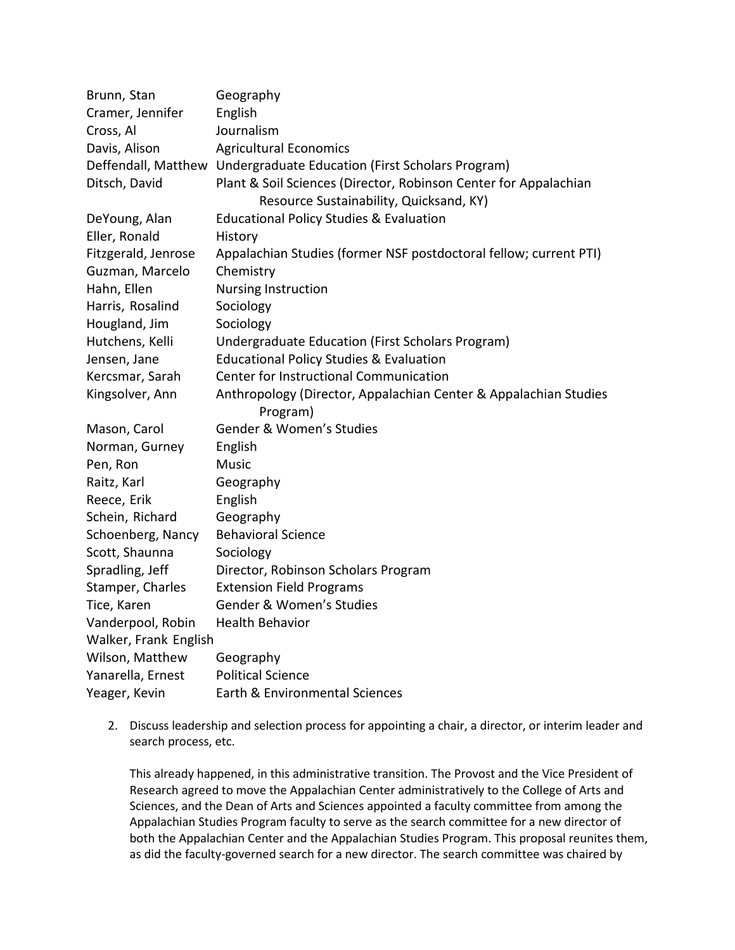| Brunn, Stan           | Geography                                                            |  |  |  |
|-----------------------|----------------------------------------------------------------------|--|--|--|
| Cramer, Jennifer      | English                                                              |  |  |  |
| Cross, Al             | Journalism                                                           |  |  |  |
| Davis, Alison         | <b>Agricultural Economics</b>                                        |  |  |  |
|                       | Deffendall, Matthew Undergraduate Education (First Scholars Program) |  |  |  |
| Ditsch, David         | Plant & Soil Sciences (Director, Robinson Center for Appalachian     |  |  |  |
|                       | Resource Sustainability, Quicksand, KY)                              |  |  |  |
| DeYoung, Alan         | <b>Educational Policy Studies &amp; Evaluation</b>                   |  |  |  |
| Eller, Ronald         | History                                                              |  |  |  |
| Fitzgerald, Jenrose   | Appalachian Studies (former NSF postdoctoral fellow; current PTI)    |  |  |  |
| Guzman, Marcelo       | Chemistry                                                            |  |  |  |
| Hahn, Ellen           | Nursing Instruction                                                  |  |  |  |
| Harris, Rosalind      | Sociology                                                            |  |  |  |
| Hougland, Jim         | Sociology                                                            |  |  |  |
| Hutchens, Kelli       | Undergraduate Education (First Scholars Program)                     |  |  |  |
| Jensen, Jane          | <b>Educational Policy Studies &amp; Evaluation</b>                   |  |  |  |
| Kercsmar, Sarah       | Center for Instructional Communication                               |  |  |  |
| Kingsolver, Ann       | Anthropology (Director, Appalachian Center & Appalachian Studies     |  |  |  |
|                       | Program)                                                             |  |  |  |
| Mason, Carol          | Gender & Women's Studies                                             |  |  |  |
| Norman, Gurney        | English                                                              |  |  |  |
| Pen, Ron              | <b>Music</b>                                                         |  |  |  |
| Raitz, Karl           | Geography                                                            |  |  |  |
| Reece, Erik           | English                                                              |  |  |  |
| Schein, Richard       | Geography                                                            |  |  |  |
| Schoenberg, Nancy     | <b>Behavioral Science</b>                                            |  |  |  |
| Scott, Shaunna        | Sociology                                                            |  |  |  |
| Spradling, Jeff       | Director, Robinson Scholars Program                                  |  |  |  |
| Stamper, Charles      | <b>Extension Field Programs</b>                                      |  |  |  |
| Tice, Karen           | Gender & Women's Studies                                             |  |  |  |
| Vanderpool, Robin     | <b>Health Behavior</b>                                               |  |  |  |
| Walker, Frank English |                                                                      |  |  |  |
| Wilson, Matthew       | Geography                                                            |  |  |  |
| Yanarella, Ernest     | <b>Political Science</b>                                             |  |  |  |
| Yeager, Kevin         | Earth & Environmental Sciences                                       |  |  |  |

2. Discuss leadership and selection process for appointing a chair, a director, or interim leader and search process, etc.

This already happened, in this administrative transition. The Provost and the Vice President of Research agreed to move the Appalachian Center administratively to the College of Arts and Sciences, and the Dean of Arts and Sciences appointed a faculty committee from among the Appalachian Studies Program faculty to serve as the search committee for a new director of both the Appalachian Center and the Appalachian Studies Program. This proposal reunites them, as did the faculty-governed search for a new director. The search committee was chaired by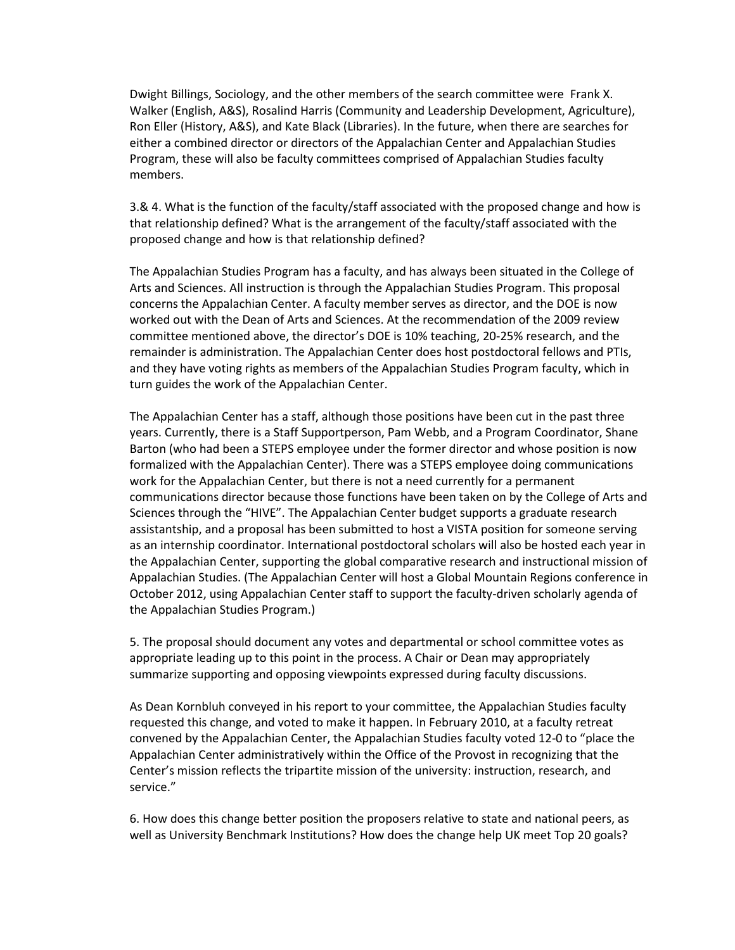Dwight Billings, Sociology, and the other members of the search committee were Frank X. Walker (English, A&S), Rosalind Harris (Community and Leadership Development, Agriculture), Ron Eller (History, A&S), and Kate Black (Libraries). In the future, when there are searches for either a combined director or directors of the Appalachian Center and Appalachian Studies Program, these will also be faculty committees comprised of Appalachian Studies faculty members.

3.& 4. What is the function of the faculty/staff associated with the proposed change and how is that relationship defined? What is the arrangement of the faculty/staff associated with the proposed change and how is that relationship defined?

The Appalachian Studies Program has a faculty, and has always been situated in the College of Arts and Sciences. All instruction is through the Appalachian Studies Program. This proposal concerns the Appalachian Center. A faculty member serves as director, and the DOE is now worked out with the Dean of Arts and Sciences. At the recommendation of the 2009 review committee mentioned above, the director's DOE is 10% teaching, 20-25% research, and the remainder is administration. The Appalachian Center does host postdoctoral fellows and PTIs, and they have voting rights as members of the Appalachian Studies Program faculty, which in turn guides the work of the Appalachian Center.

The Appalachian Center has a staff, although those positions have been cut in the past three years. Currently, there is a Staff Supportperson, Pam Webb, and a Program Coordinator, Shane Barton (who had been a STEPS employee under the former director and whose position is now formalized with the Appalachian Center). There was a STEPS employee doing communications work for the Appalachian Center, but there is not a need currently for a permanent communications director because those functions have been taken on by the College of Arts and Sciences through the "HIVE". The Appalachian Center budget supports a graduate research assistantship, and a proposal has been submitted to host a VISTA position for someone serving as an internship coordinator. International postdoctoral scholars will also be hosted each year in the Appalachian Center, supporting the global comparative research and instructional mission of Appalachian Studies. (The Appalachian Center will host a Global Mountain Regions conference in October 2012, using Appalachian Center staff to support the faculty-driven scholarly agenda of the Appalachian Studies Program.)

5. The proposal should document any votes and departmental or school committee votes as appropriate leading up to this point in the process. A Chair or Dean may appropriately summarize supporting and opposing viewpoints expressed during faculty discussions.

As Dean Kornbluh conveyed in his report to your committee, the Appalachian Studies faculty requested this change, and voted to make it happen. In February 2010, at a faculty retreat convened by the Appalachian Center, the Appalachian Studies faculty voted 12-0 to "place the Appalachian Center administratively within the Office of the Provost in recognizing that the Center's mission reflects the tripartite mission of the university: instruction, research, and service."

6. How does this change better position the proposers relative to state and national peers, as well as University Benchmark Institutions? How does the change help UK meet Top 20 goals?